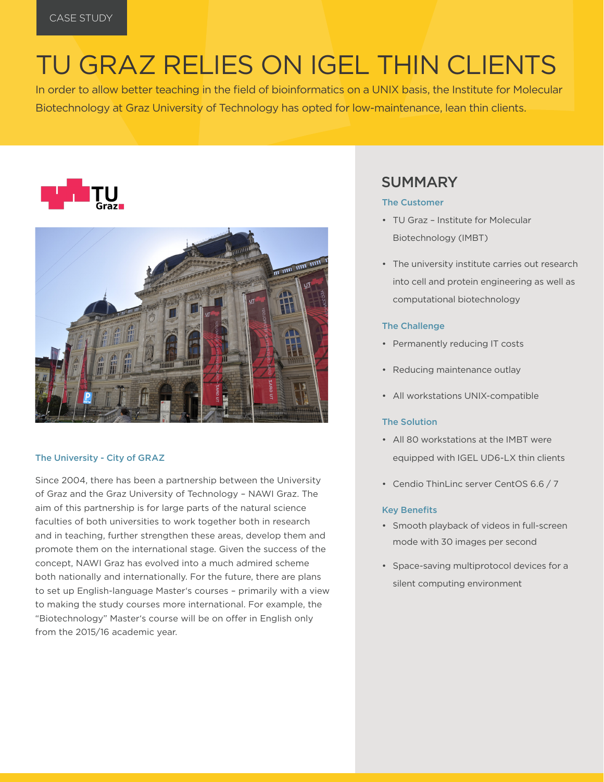# TU GRAZ RELIES ON IGEL THIN CLIENTS

In order to allow better teaching in the field of bioinformatics on a UNIX basis, the Institute for Molecular Biotechnology at Graz University of Technology has opted for low-maintenance, lean thin clients.





#### The University - City of GRAZ

Since 2004, there has been a partnership between the University of Graz and the Graz University of Technology – NAWI Graz. The aim of this partnership is for large parts of the natural science faculties of both universities to work together both in research and in teaching, further strengthen these areas, develop them and promote them on the international stage. Given the success of the concept, NAWI Graz has evolved into a much admired scheme both nationally and internationally. For the future, there are plans to set up English-language Master's courses – primarily with a view to making the study courses more international. For example, the "Biotechnology" Master's course will be on offer in English only from the 2015/16 academic year.

## SUMMARY

#### The Customer

- TU Graz Institute for Molecular Biotechnology (IMBT)
- The university institute carries out research into cell and protein engineering as well as computational biotechnology

#### The Challenge

- Permanently reducing IT costs
- Reducing maintenance outlay
- All workstations UNIX-compatible

#### The Solution

- All 80 workstations at the IMBT were equipped with IGEL UD6-LX thin clients
- Cendio ThinLinc server CentOS 6.6 / 7

#### Key Benefits

- Smooth playback of videos in full-screen mode with 30 images per second
- Space-saving multiprotocol devices for a silent computing environment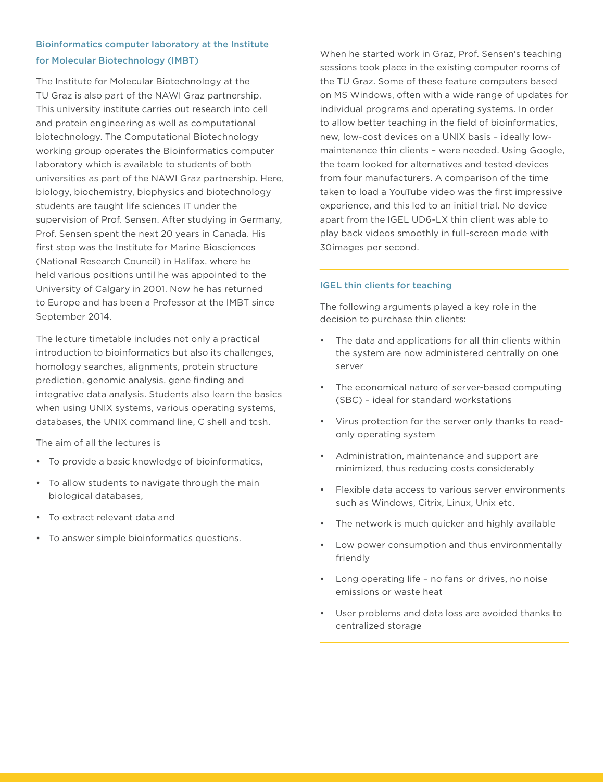### Bioinformatics computer laboratory at the Institute for Molecular Biotechnology (IMBT)

The Institute for Molecular Biotechnology at the TU Graz is also part of the NAWI Graz partnership. This university institute carries out research into cell and protein engineering as well as computational biotechnology. The Computational Biotechnology working group operates the Bioinformatics computer laboratory which is available to students of both universities as part of the NAWI Graz partnership. Here, biology, biochemistry, biophysics and biotechnology students are taught life sciences IT under the supervision of Prof. Sensen. After studying in Germany, Prof. Sensen spent the next 20 years in Canada. His first stop was the Institute for Marine Biosciences (National Research Council) in Halifax, where he held various positions until he was appointed to the University of Calgary in 2001. Now he has returned to Europe and has been a Professor at the IMBT since September 2014.

The lecture timetable includes not only a practical introduction to bioinformatics but also its challenges, homology searches, alignments, protein structure prediction, genomic analysis, gene finding and integrative data analysis. Students also learn the basics when using UNIX systems, various operating systems, databases, the UNIX command line, C shell and tcsh.

The aim of all the lectures is

- To provide a basic knowledge of bioinformatics,
- To allow students to navigate through the main biological databases,
- To extract relevant data and
- To answer simple bioinformatics questions.

When he started work in Graz, Prof. Sensen's teaching sessions took place in the existing computer rooms of the TU Graz. Some of these feature computers based on MS Windows, often with a wide range of updates for individual programs and operating systems. In order to allow better teaching in the field of bioinformatics, new, low-cost devices on a UNIX basis – ideally lowmaintenance thin clients – were needed. Using Google, the team looked for alternatives and tested devices from four manufacturers. A comparison of the time taken to load a YouTube video was the first impressive experience, and this led to an initial trial. No device apart from the IGEL UD6-LX thin client was able to play back videos smoothly in full-screen mode with 30images per second.

#### IGEL thin clients for teaching

The following arguments played a key role in the decision to purchase thin clients:

- The data and applications for all thin clients within the system are now administered centrally on one server
- The economical nature of server-based computing (SBC) – ideal for standard workstations
- Virus protection for the server only thanks to readonly operating system
- Administration, maintenance and support are minimized, thus reducing costs considerably
- Flexible data access to various server environments such as Windows, Citrix, Linux, Unix etc.
- The network is much quicker and highly available
- Low power consumption and thus environmentally friendly
- Long operating life no fans or drives, no noise emissions or waste heat
- User problems and data loss are avoided thanks to centralized storage